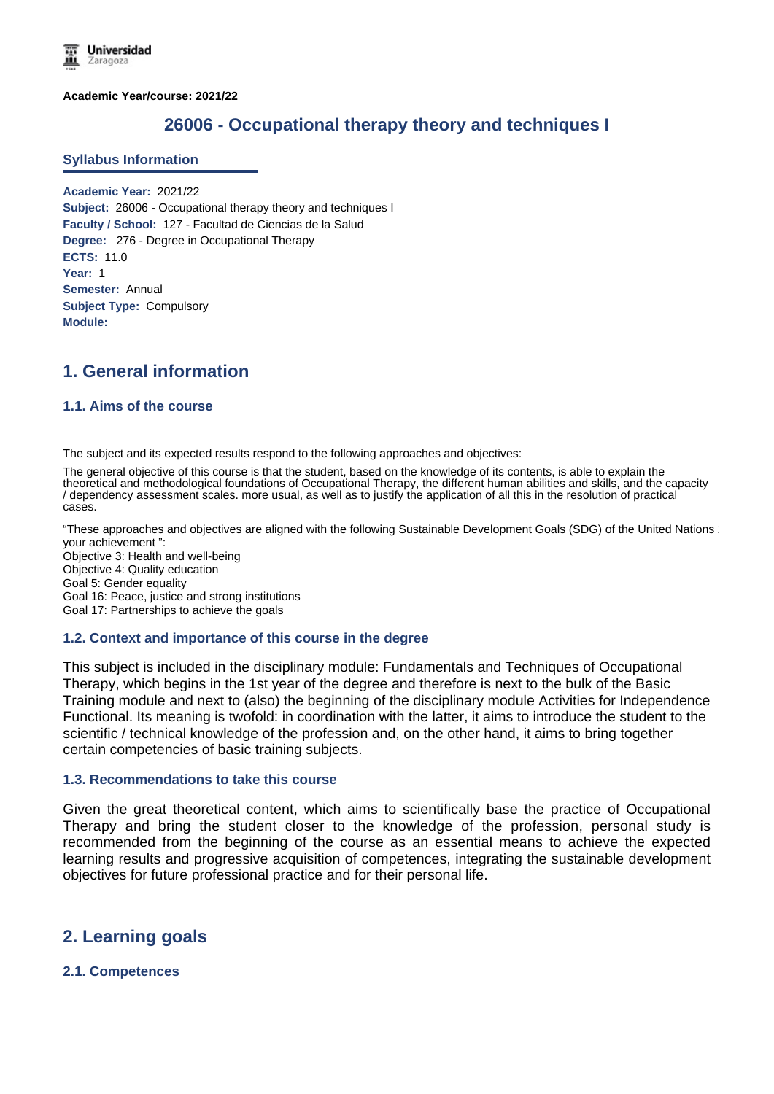**Academic Year/course: 2021/22**

## **26006 - Occupational therapy theory and techniques I**

#### **Syllabus Information**

**Academic Year:** 2021/22 **Subject:** 26006 - Occupational therapy theory and techniques I **Faculty / School:** 127 - Facultad de Ciencias de la Salud **Degree:** 276 - Degree in Occupational Therapy **ECTS:** 11.0 **Year:** 1 **Semester:** Annual **Subject Type:** Compulsory **Module:**

# **1. General information**

## **1.1. Aims of the course**

The subject and its expected results respond to the following approaches and objectives:

The general objective of this course is that the student, based on the knowledge of its contents, is able to explain the theoretical and methodological foundations of Occupational Therapy, the different human abilities and skills, and the capacity / dependency assessment scales. more usual, as well as to justify the application of all this in the resolution of practical cases.

"These approaches and objectives are aligned with the following Sustainable Development Goals (SDG) of the United Nations: your achievement ":

Objective 3: Health and well-being Objective 4: Quality education Goal 5: Gender equality Goal 16: Peace, justice and strong institutions Goal 17: Partnerships to achieve the goals

#### **1.2. Context and importance of this course in the degree**

This subject is included in the disciplinary module: Fundamentals and Techniques of Occupational Therapy, which begins in the 1st year of the degree and therefore is next to the bulk of the Basic Training module and next to (also) the beginning of the disciplinary module Activities for Independence Functional. Its meaning is twofold: in coordination with the latter, it aims to introduce the student to the scientific / technical knowledge of the profession and, on the other hand, it aims to bring together certain competencies of basic training subjects.

#### **1.3. Recommendations to take this course**

Given the great theoretical content, which aims to scientifically base the practice of Occupational Therapy and bring the student closer to the knowledge of the profession, personal study is recommended from the beginning of the course as an essential means to achieve the expected learning results and progressive acquisition of competences, integrating the sustainable development objectives for future professional practice and for their personal life.

# **2. Learning goals**

## **2.1. Competences**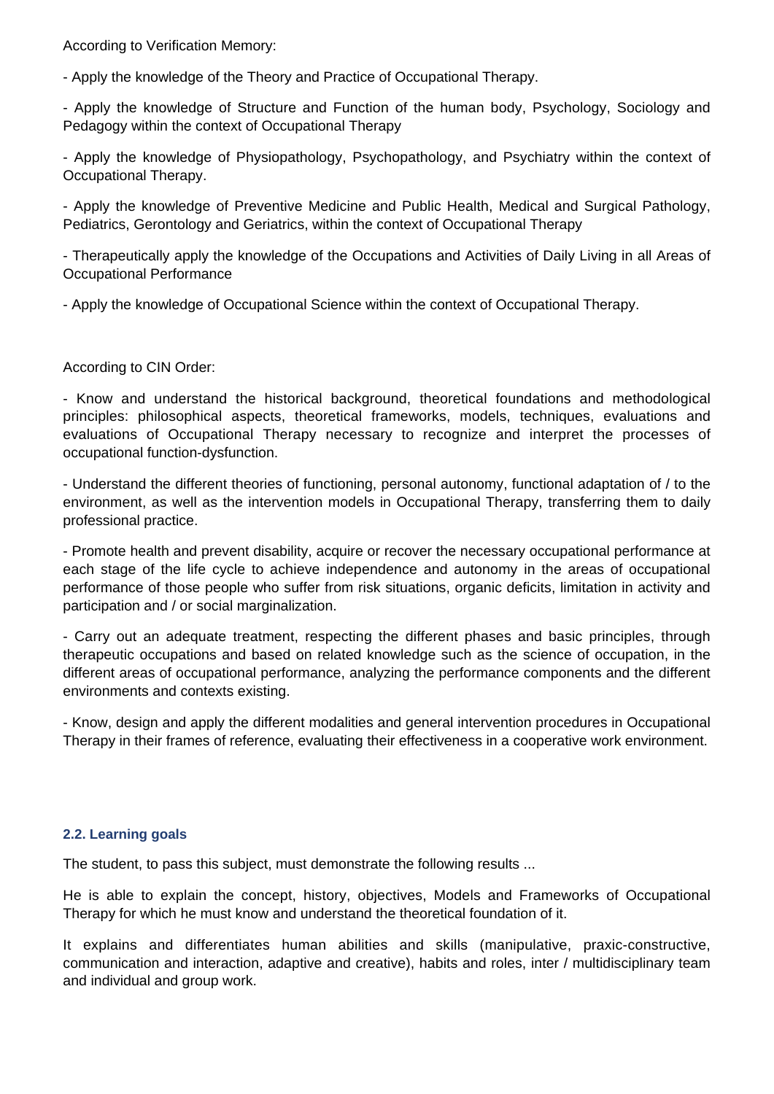According to Verification Memory:

- Apply the knowledge of the Theory and Practice of Occupational Therapy.

- Apply the knowledge of Structure and Function of the human body, Psychology, Sociology and Pedagogy within the context of Occupational Therapy

- Apply the knowledge of Physiopathology, Psychopathology, and Psychiatry within the context of Occupational Therapy.

- Apply the knowledge of Preventive Medicine and Public Health, Medical and Surgical Pathology, Pediatrics, Gerontology and Geriatrics, within the context of Occupational Therapy

- Therapeutically apply the knowledge of the Occupations and Activities of Daily Living in all Areas of Occupational Performance

- Apply the knowledge of Occupational Science within the context of Occupational Therapy.

According to CIN Order:

- Know and understand the historical background, theoretical foundations and methodological principles: philosophical aspects, theoretical frameworks, models, techniques, evaluations and evaluations of Occupational Therapy necessary to recognize and interpret the processes of occupational function-dysfunction.

- Understand the different theories of functioning, personal autonomy, functional adaptation of / to the environment, as well as the intervention models in Occupational Therapy, transferring them to daily professional practice.

- Promote health and prevent disability, acquire or recover the necessary occupational performance at each stage of the life cycle to achieve independence and autonomy in the areas of occupational performance of those people who suffer from risk situations, organic deficits, limitation in activity and participation and / or social marginalization.

- Carry out an adequate treatment, respecting the different phases and basic principles, through therapeutic occupations and based on related knowledge such as the science of occupation, in the different areas of occupational performance, analyzing the performance components and the different environments and contexts existing.

- Know, design and apply the different modalities and general intervention procedures in Occupational Therapy in their frames of reference, evaluating their effectiveness in a cooperative work environment.

## **2.2. Learning goals**

The student, to pass this subject, must demonstrate the following results ...

He is able to explain the concept, history, objectives, Models and Frameworks of Occupational Therapy for which he must know and understand the theoretical foundation of it.

It explains and differentiates human abilities and skills (manipulative, praxic-constructive, communication and interaction, adaptive and creative), habits and roles, inter / multidisciplinary team and individual and group work.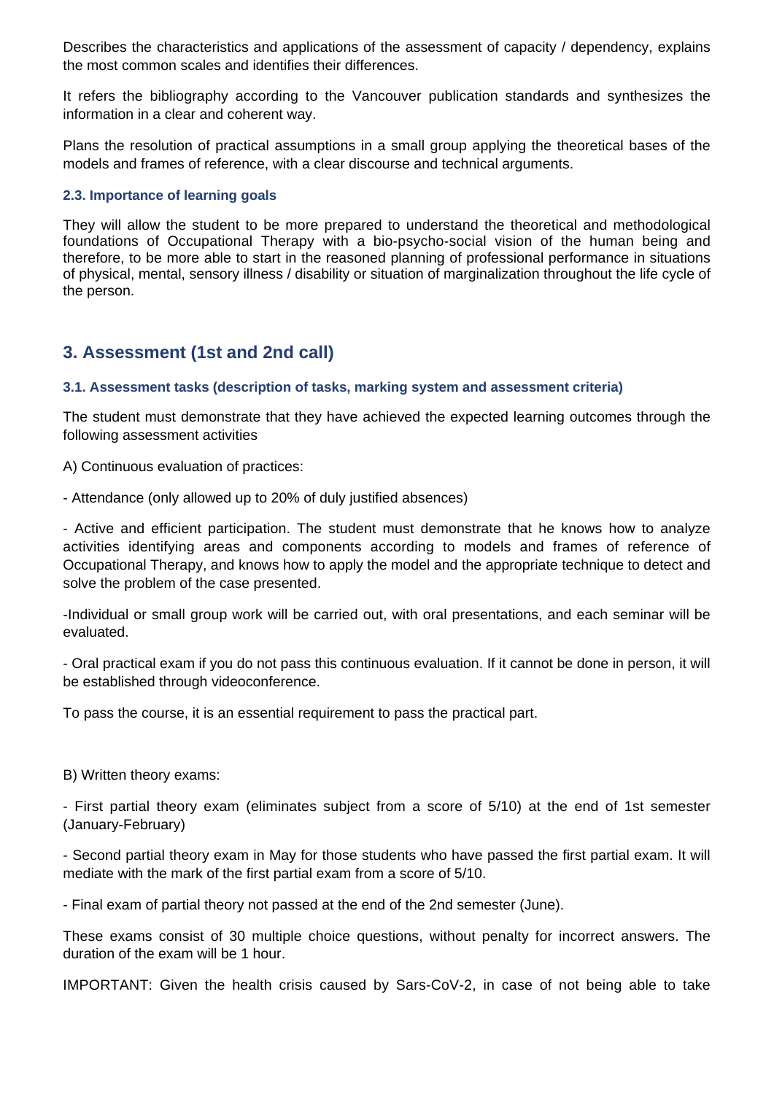Describes the characteristics and applications of the assessment of capacity / dependency, explains the most common scales and identifies their differences.

It refers the bibliography according to the Vancouver publication standards and synthesizes the information in a clear and coherent way.

Plans the resolution of practical assumptions in a small group applying the theoretical bases of the models and frames of reference, with a clear discourse and technical arguments.

## **2.3. Importance of learning goals**

They will allow the student to be more prepared to understand the theoretical and methodological foundations of Occupational Therapy with a bio-psycho-social vision of the human being and therefore, to be more able to start in the reasoned planning of professional performance in situations of physical, mental, sensory illness / disability or situation of marginalization throughout the life cycle of the person.

# **3. Assessment (1st and 2nd call)**

## **3.1. Assessment tasks (description of tasks, marking system and assessment criteria)**

The student must demonstrate that they have achieved the expected learning outcomes through the following assessment activities

A) Continuous evaluation of practices:

- Attendance (only allowed up to 20% of duly justified absences)

- Active and efficient participation. The student must demonstrate that he knows how to analyze activities identifying areas and components according to models and frames of reference of Occupational Therapy, and knows how to apply the model and the appropriate technique to detect and solve the problem of the case presented.

-Individual or small group work will be carried out, with oral presentations, and each seminar will be evaluated.

- Oral practical exam if you do not pass this continuous evaluation. If it cannot be done in person, it will be established through videoconference.

To pass the course, it is an essential requirement to pass the practical part.

B) Written theory exams:

- First partial theory exam (eliminates subject from a score of 5/10) at the end of 1st semester (January-February)

- Second partial theory exam in May for those students who have passed the first partial exam. It will mediate with the mark of the first partial exam from a score of 5/10.

- Final exam of partial theory not passed at the end of the 2nd semester (June).

These exams consist of 30 multiple choice questions, without penalty for incorrect answers. The duration of the exam will be 1 hour.

IMPORTANT: Given the health crisis caused by Sars-CoV-2, in case of not being able to take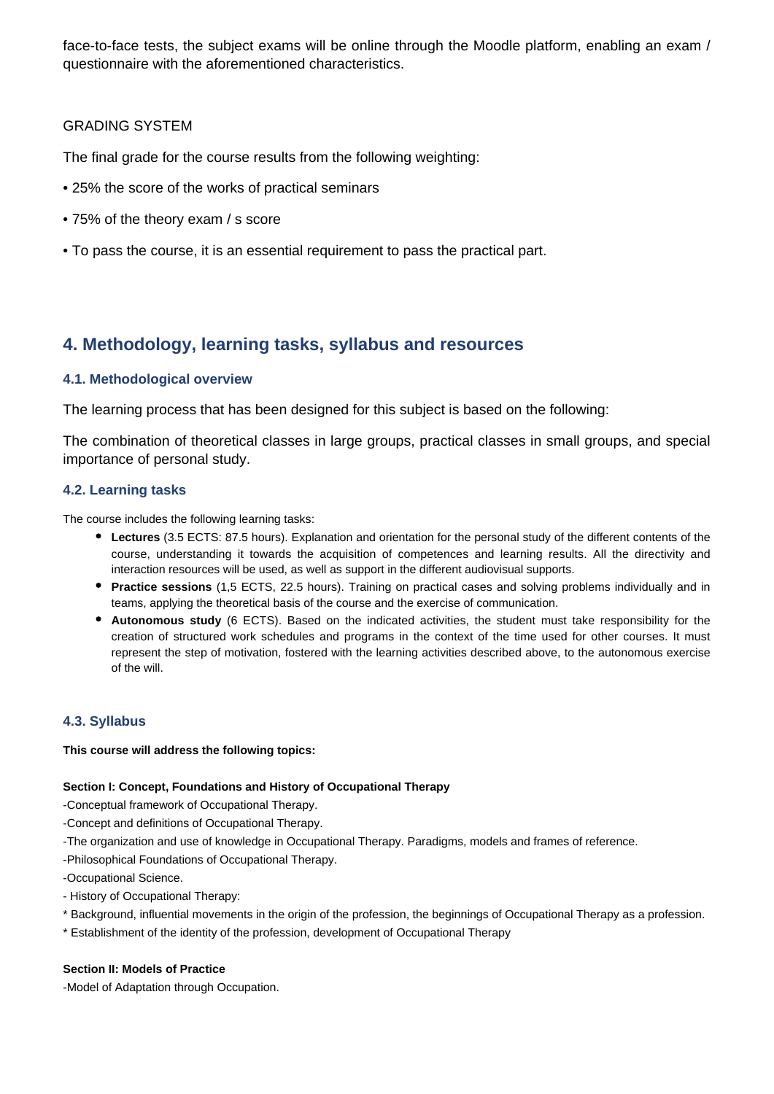face-to-face tests, the subject exams will be online through the Moodle platform, enabling an exam / questionnaire with the aforementioned characteristics.

## GRADING SYSTEM

The final grade for the course results from the following weighting:

- 25% the score of the works of practical seminars
- 75% of the theory exam / s score
- To pass the course, it is an essential requirement to pass the practical part.

# **4. Methodology, learning tasks, syllabus and resources**

## **4.1. Methodological overview**

The learning process that has been designed for this subject is based on the following:

The combination of theoretical classes in large groups, practical classes in small groups, and special importance of personal study.

## **4.2. Learning tasks**

The course includes the following learning tasks:

- **Lectures** (3.5 ECTS: 87.5 hours). Explanation and orientation for the personal study of the different contents of the course, understanding it towards the acquisition of competences and learning results. All the directivity and interaction resources will be used, as well as support in the different audiovisual supports.
- **Practice sessions** (1,5 ECTS, 22.5 hours). Training on practical cases and solving problems individually and in teams, applying the theoretical basis of the course and the exercise of communication.
- **Autonomous study** (6 ECTS). Based on the indicated activities, the student must take responsibility for the creation of structured work schedules and programs in the context of the time used for other courses. It must represent the step of motivation, fostered with the learning activities described above, to the autonomous exercise of the will.

## **4.3. Syllabus**

## **This course will address the following topics:**

## **Section I: Concept, Foundations and History of Occupational Therapy**

-Conceptual framework of Occupational Therapy.

- -Concept and definitions of Occupational Therapy.
- -The organization and use of knowledge in Occupational Therapy. Paradigms, models and frames of reference.
- -Philosophical Foundations of Occupational Therapy.

-Occupational Science.

- History of Occupational Therapy:
- \* Background, influential movements in the origin of the profession, the beginnings of Occupational Therapy as a profession.
- \* Establishment of the identity of the profession, development of Occupational Therapy

## **Section II: Models of Practice**

-Model of Adaptation through Occupation.